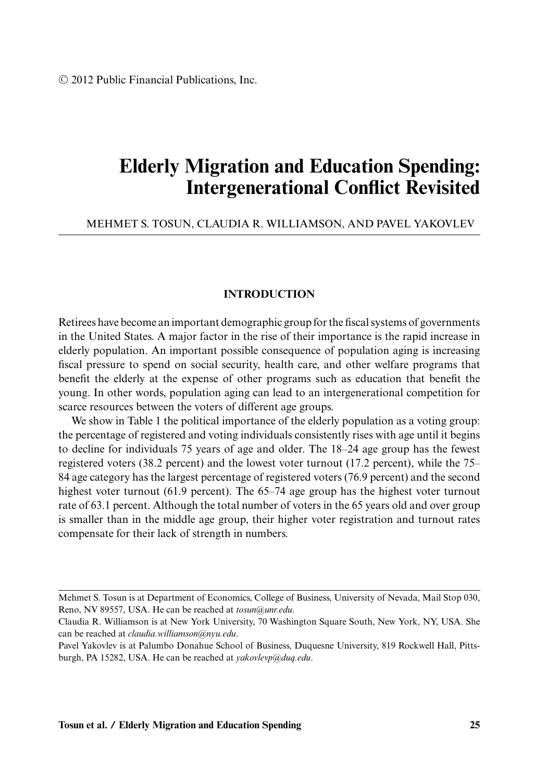# **Elderly Migration and Education Spending: Intergenerational Conflict Revisited**

## MEHMET S. TOSUN, CLAUDIA R. WILLIAMSON, AND PAVEL YAKOVLEV

## **INTRODUCTION**

Retirees have become an important demographic group for the fiscal systems of governments in the United States. A major factor in the rise of their importance is the rapid increase in elderly population. An important possible consequence of population aging is increasing fiscal pressure to spend on social security, health care, and other welfare programs that benefit the elderly at the expense of other programs such as education that benefit the young. In other words, population aging can lead to an intergenerational competition for scarce resources between the voters of different age groups.

We show in Table 1 the political importance of the elderly population as a voting group: the percentage of registered and voting individuals consistently rises with age until it begins to decline for individuals 75 years of age and older. The 18–24 age group has the fewest registered voters (38.2 percent) and the lowest voter turnout (17.2 percent), while the 75– 84 age category has the largest percentage of registered voters (76.9 percent) and the second highest voter turnout (61.9 percent). The 65–74 age group has the highest voter turnout rate of 63.1 percent. Although the total number of voters in the 65 years old and over group is smaller than in the middle age group, their higher voter registration and turnout rates compensate for their lack of strength in numbers.

Mehmet S. Tosun is at Department of Economics, College of Business, University of Nevada, Mail Stop 030, Reno, NV 89557, USA. He can be reached at *tosun@unr.edu*.

Claudia R. Williamson is at New York University, 70 Washington Square South, New York, NY, USA. She can be reached at *claudia.williamson@nyu.edu*.

Pavel Yakovlev is at Palumbo Donahue School of Business, Duquesne University, 819 Rockwell Hall, Pittsburgh, PA 15282, USA. He can be reached at *yakovlevp@duq.edu*.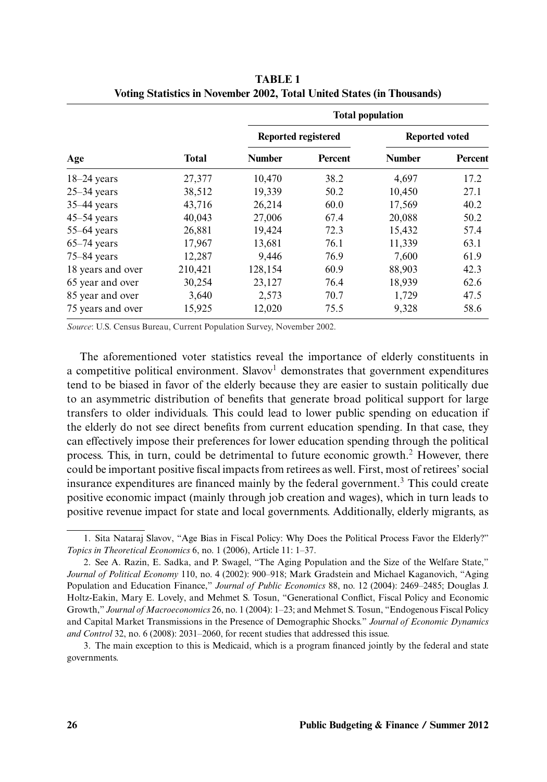|                   |              | <b>Total population</b> |                |                       |         |
|-------------------|--------------|-------------------------|----------------|-----------------------|---------|
| Age               | <b>Total</b> | Reported registered     |                | <b>Reported voted</b> |         |
|                   |              | <b>Number</b>           | <b>Percent</b> | <b>Number</b>         | Percent |
| $18-24$ years     | 27,377       | 10,470                  | 38.2           | 4,697                 | 17.2    |
| $25-34$ years     | 38,512       | 19,339                  | 50.2           | 10,450                | 27.1    |
| $35-44$ years     | 43,716       | 26,214                  | 60.0           | 17,569                | 40.2    |
| $45-54$ years     | 40.043       | 27,006                  | 67.4           | 20.088                | 50.2    |
| $55-64$ years     | 26,881       | 19,424                  | 72.3           | 15,432                | 57.4    |
| $65-74$ years     | 17,967       | 13,681                  | 76.1           | 11,339                | 63.1    |
| $75 - 84$ years   | 12,287       | 9,446                   | 76.9           | 7.600                 | 61.9    |
| 18 years and over | 210,421      | 128,154                 | 60.9           | 88,903                | 42.3    |
| 65 year and over  | 30,254       | 23,127                  | 76.4           | 18,939                | 62.6    |
| 85 year and over  | 3,640        | 2,573                   | 70.7           | 1,729                 | 47.5    |
| 75 years and over | 15,925       | 12,020                  | 75.5           | 9,328                 | 58.6    |

**TABLE 1 Voting Statistics in November 2002, Total United States (in Thousands)**

*Source*: U.S. Census Bureau, Current Population Survey, November 2002.

The aforementioned voter statistics reveal the importance of elderly constituents in a competitive political environment. Slavov<sup>1</sup> demonstrates that government expenditures tend to be biased in favor of the elderly because they are easier to sustain politically due to an asymmetric distribution of benefits that generate broad political support for large transfers to older individuals. This could lead to lower public spending on education if the elderly do not see direct benefits from current education spending. In that case, they can effectively impose their preferences for lower education spending through the political process. This, in turn, could be detrimental to future economic growth.<sup>2</sup> However, there could be important positive fiscal impacts from retirees as well. First, most of retirees' social insurance expenditures are financed mainly by the federal government.<sup>3</sup> This could create positive economic impact (mainly through job creation and wages), which in turn leads to positive revenue impact for state and local governments. Additionally, elderly migrants, as

<sup>1.</sup> Sita Nataraj Slavov, "Age Bias in Fiscal Policy: Why Does the Political Process Favor the Elderly?" *Topics in Theoretical Economics* 6, no. 1 (2006), Article 11: 1–37.

<sup>2.</sup> See A. Razin, E. Sadka, and P. Swagel, "The Aging Population and the Size of the Welfare State," *Journal of Political Economy* 110, no. 4 (2002): 900–918; Mark Gradstein and Michael Kaganovich, "Aging Population and Education Finance," *Journal of Public Economics* 88, no. 12 (2004): 2469–2485; Douglas J. Holtz-Eakin, Mary E. Lovely, and Mehmet S. Tosun, "Generational Conflict, Fiscal Policy and Economic Growth," *Journal of Macroeconomics* 26, no. 1 (2004): 1–23; and Mehmet S. Tosun, "Endogenous Fiscal Policy and Capital Market Transmissions in the Presence of Demographic Shocks." *Journal of Economic Dynamics and Control* 32, no. 6 (2008): 2031–2060, for recent studies that addressed this issue.

<sup>3.</sup> The main exception to this is Medicaid, which is a program financed jointly by the federal and state governments.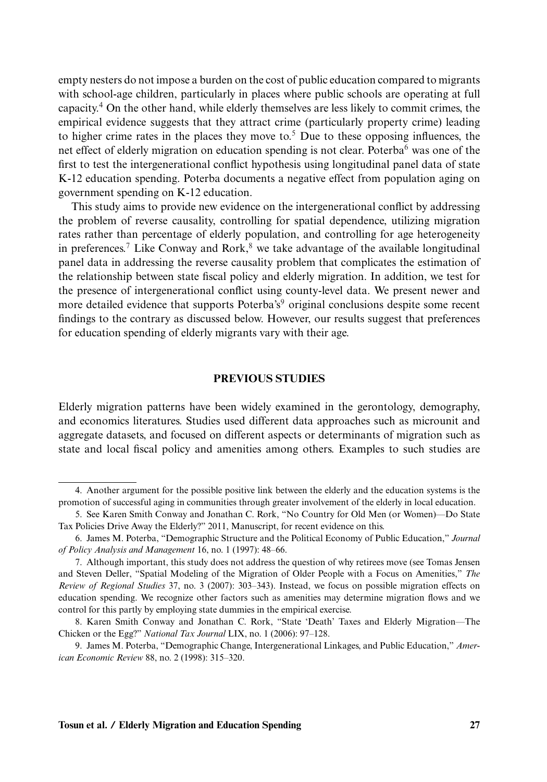empty nesters do not impose a burden on the cost of public education compared to migrants with school-age children, particularly in places where public schools are operating at full capacity.4 On the other hand, while elderly themselves are less likely to commit crimes, the empirical evidence suggests that they attract crime (particularly property crime) leading to higher crime rates in the places they move to.<sup>5</sup> Due to these opposing influences, the net effect of elderly migration on education spending is not clear. Poterba<sup>6</sup> was one of the first to test the intergenerational conflict hypothesis using longitudinal panel data of state K-12 education spending. Poterba documents a negative effect from population aging on government spending on K-12 education.

This study aims to provide new evidence on the intergenerational conflict by addressing the problem of reverse causality, controlling for spatial dependence, utilizing migration rates rather than percentage of elderly population, and controlling for age heterogeneity in preferences.<sup>7</sup> Like Conway and Rork, $\delta$  we take advantage of the available longitudinal panel data in addressing the reverse causality problem that complicates the estimation of the relationship between state fiscal policy and elderly migration. In addition, we test for the presence of intergenerational conflict using county-level data. We present newer and more detailed evidence that supports Poterba's<sup>9</sup> original conclusions despite some recent findings to the contrary as discussed below. However, our results suggest that preferences for education spending of elderly migrants vary with their age.

#### **PREVIOUS STUDIES**

Elderly migration patterns have been widely examined in the gerontology, demography, and economics literatures. Studies used different data approaches such as microunit and aggregate datasets, and focused on different aspects or determinants of migration such as state and local fiscal policy and amenities among others. Examples to such studies are

<sup>4.</sup> Another argument for the possible positive link between the elderly and the education systems is the promotion of successful aging in communities through greater involvement of the elderly in local education.

<sup>5.</sup> See Karen Smith Conway and Jonathan C. Rork, "No Country for Old Men (or Women)—Do State Tax Policies Drive Away the Elderly?" 2011, Manuscript, for recent evidence on this.

<sup>6.</sup> James M. Poterba, "Demographic Structure and the Political Economy of Public Education," *Journal of Policy Analysis and Management* 16, no. 1 (1997): 48–66.

<sup>7.</sup> Although important, this study does not address the question of why retirees move (see Tomas Jensen and Steven Deller, "Spatial Modeling of the Migration of Older People with a Focus on Amenities," *The Review of Regional Studies* 37, no. 3 (2007): 303–343). Instead, we focus on possible migration effects on education spending. We recognize other factors such as amenities may determine migration flows and we control for this partly by employing state dummies in the empirical exercise.

<sup>8.</sup> Karen Smith Conway and Jonathan C. Rork, "State 'Death' Taxes and Elderly Migration—The Chicken or the Egg?" *National Tax Journal* LIX, no. 1 (2006): 97–128.

<sup>9.</sup> James M. Poterba, "Demographic Change, Intergenerational Linkages, and Public Education," *American Economic Review* 88, no. 2 (1998): 315–320.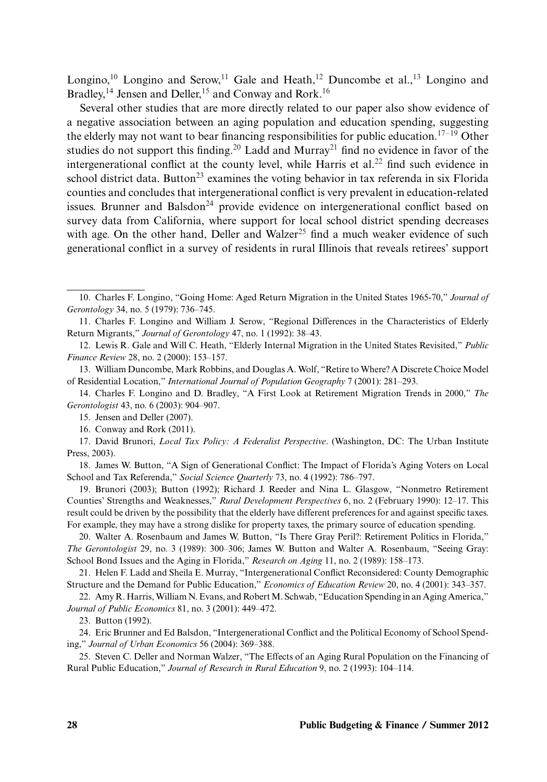Longino,<sup>10</sup> Longino and Serow,<sup>11</sup> Gale and Heath,<sup>12</sup> Duncombe et al.,<sup>13</sup> Longino and Bradley,<sup>14</sup> Jensen and Deller,<sup>15</sup> and Conway and Rork.<sup>16</sup>

Several other studies that are more directly related to our paper also show evidence of a negative association between an aging population and education spending, suggesting the elderly may not want to bear financing responsibilities for public education.<sup>17–19</sup> Other studies do not support this finding.<sup>20</sup> Ladd and Murray<sup>21</sup> find no evidence in favor of the intergenerational conflict at the county level, while Harris et al.<sup>22</sup> find such evidence in school district data. Button<sup>23</sup> examines the voting behavior in tax referenda in six Florida counties and concludes that intergenerational conflict is very prevalent in education-related issues. Brunner and Balsdon<sup>24</sup> provide evidence on intergenerational conflict based on survey data from California, where support for local school district spending decreases with age. On the other hand, Deller and Walzer<sup>25</sup> find a much weaker evidence of such generational conflict in a survey of residents in rural Illinois that reveals retirees' support

23. Button (1992).

24. Eric Brunner and Ed Balsdon, "Intergenerational Conflict and the Political Economy of School Spending," *Journal of Urban Economics* 56 (2004): 369–388.

25. Steven C. Deller and Norman Walzer, "The Effects of an Aging Rural Population on the Financing of Rural Public Education," *Journal of Research in Rural Education* 9, no. 2 (1993): 104–114.

<sup>10.</sup> Charles F. Longino, "Going Home: Aged Return Migration in the United States 1965-70," *Journal of Gerontology* 34, no. 5 (1979): 736–745.

<sup>11.</sup> Charles F. Longino and William J. Serow, "Regional Differences in the Characteristics of Elderly Return Migrants," *Journal of Gerontology* 47, no. 1 (1992): 38–43.

<sup>12.</sup> Lewis R. Gale and Will C. Heath, "Elderly Internal Migration in the United States Revisited," *Public Finance Review* 28, no. 2 (2000): 153–157.

<sup>13.</sup> William Duncombe, Mark Robbins, and Douglas A. Wolf, "Retire to Where? A Discrete Choice Model of Residential Location," *International Journal of Population Geography* 7 (2001): 281–293.

<sup>14.</sup> Charles F. Longino and D. Bradley, "A First Look at Retirement Migration Trends in 2000," *The Gerontologist* 43, no. 6 (2003): 904–907.

<sup>15.</sup> Jensen and Deller (2007).

<sup>16.</sup> Conway and Rork (2011).

<sup>17.</sup> David Brunori, *Local Tax Policy: A Federalist Perspective*. (Washington, DC: The Urban Institute Press, 2003).

<sup>18.</sup> James W. Button, "A Sign of Generational Conflict: The Impact of Florida's Aging Voters on Local School and Tax Referenda," *Social Science Quarterly* 73, no. 4 (1992): 786–797.

<sup>19.</sup> Brunori (2003); Button (1992); Richard J. Reeder and Nina L. Glasgow, "Nonmetro Retirement Counties' Strengths and Weaknesses," *Rural Development Perspectives* 6, no. 2 (February 1990): 12–17. This result could be driven by the possibility that the elderly have different preferences for and against specific taxes. For example, they may have a strong dislike for property taxes, the primary source of education spending.

<sup>20.</sup> Walter A. Rosenbaum and James W. Button, "Is There Gray Peril?: Retirement Politics in Florida," *The Gerontologist* 29, no. 3 (1989): 300–306; James W. Button and Walter A. Rosenbaum, "Seeing Gray: School Bond Issues and the Aging in Florida," *Research on Aging* 11, no. 2 (1989): 158–173.

<sup>21.</sup> Helen F. Ladd and Sheila E. Murray, "Intergenerational Conflict Reconsidered: County Demographic Structure and the Demand for Public Education," *Economics of Education Review* 20, no. 4 (2001): 343–357.

<sup>22.</sup> Amy R. Harris,William N. Evans, and RobertM. Schwab, "Education Spending in an Aging America," *Journal of Public Economics* 81, no. 3 (2001): 449–472.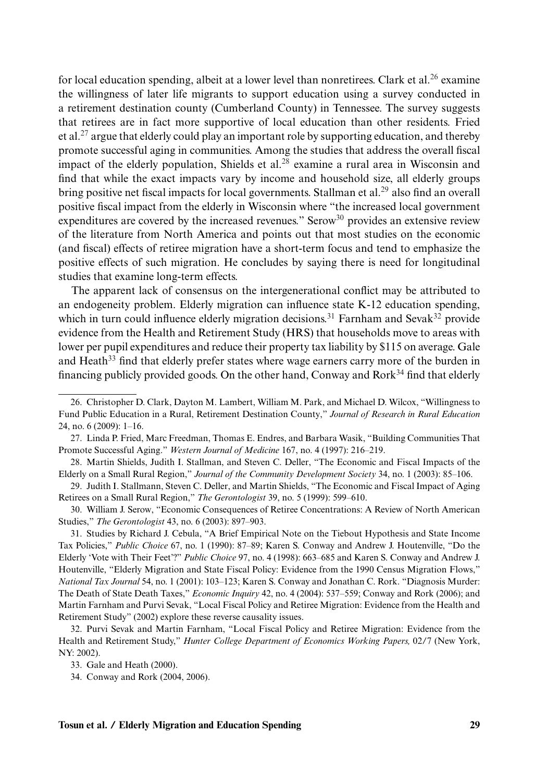for local education spending, albeit at a lower level than nonretirees. Clark et al.<sup>26</sup> examine the willingness of later life migrants to support education using a survey conducted in a retirement destination county (Cumberland County) in Tennessee. The survey suggests that retirees are in fact more supportive of local education than other residents. Fried et al.<sup>27</sup> argue that elderly could play an important role by supporting education, and thereby promote successful aging in communities. Among the studies that address the overall fiscal impact of the elderly population, Shields et al. $^{28}$  examine a rural area in Wisconsin and find that while the exact impacts vary by income and household size, all elderly groups bring positive net fiscal impacts for local governments. Stallman et al.<sup>29</sup> also find an overall positive fiscal impact from the elderly in Wisconsin where "the increased local government expenditures are covered by the increased revenues." Serow<sup>30</sup> provides an extensive review of the literature from North America and points out that most studies on the economic (and fiscal) effects of retiree migration have a short-term focus and tend to emphasize the positive effects of such migration. He concludes by saying there is need for longitudinal studies that examine long-term effects.

The apparent lack of consensus on the intergenerational conflict may be attributed to an endogeneity problem. Elderly migration can influence state K-12 education spending, which in turn could influence elderly migration decisions.<sup>31</sup> Farnham and Sevak<sup>32</sup> provide evidence from the Health and Retirement Study (HRS) that households move to areas with lower per pupil expenditures and reduce their property tax liability by \$115 on average. Gale and Heath<sup>33</sup> find that elderly prefer states where wage earners carry more of the burden in financing publicly provided goods. On the other hand, Conway and Rork $34$  find that elderly

<sup>26.</sup> Christopher D. Clark, Dayton M. Lambert, William M. Park, and Michael D. Wilcox, "Willingness to Fund Public Education in a Rural, Retirement Destination County," *Journal of Research in Rural Education* 24, no. 6 (2009): 1–16.

<sup>27.</sup> Linda P. Fried, Marc Freedman, Thomas E. Endres, and Barbara Wasik, "Building Communities That Promote Successful Aging." *Western Journal of Medicine* 167, no. 4 (1997): 216–219.

<sup>28.</sup> Martin Shields, Judith I. Stallman, and Steven C. Deller, "The Economic and Fiscal Impacts of the Elderly on a Small Rural Region," *Journal of the Community Development Society* 34, no. 1 (2003): 85–106.

<sup>29.</sup> Judith I. Stallmann, Steven C. Deller, and Martin Shields, "The Economic and Fiscal Impact of Aging Retirees on a Small Rural Region," *The Gerontologist* 39, no. 5 (1999): 599–610.

<sup>30.</sup> William J. Serow, "Economic Consequences of Retiree Concentrations: A Review of North American Studies," *The Gerontologist* 43, no. 6 (2003): 897–903.

<sup>31.</sup> Studies by Richard J. Cebula, "A Brief Empirical Note on the Tiebout Hypothesis and State Income Tax Policies," *Public Choice* 67, no. 1 (1990): 87–89; Karen S. Conway and Andrew J. Houtenville, "Do the Elderly 'Vote with Their Feet'?" *Public Choice* 97, no. 4 (1998): 663–685 and Karen S. Conway and Andrew J. Houtenville, "Elderly Migration and State Fiscal Policy: Evidence from the 1990 Census Migration Flows," *National Tax Journal* 54, no. 1 (2001): 103–123; Karen S. Conway and Jonathan C. Rork. "Diagnosis Murder: The Death of State Death Taxes," *Economic Inquiry* 42, no. 4 (2004): 537–559; Conway and Rork (2006); and Martin Farnham and Purvi Sevak, "Local Fiscal Policy and Retiree Migration: Evidence from the Health and Retirement Study" (2002) explore these reverse causality issues.

<sup>32.</sup> Purvi Sevak and Martin Farnham, "Local Fiscal Policy and Retiree Migration: Evidence from the Health and Retirement Study," *Hunter College Department of Economics Working Papers,* 02/7 (New York, NY: 2002).

<sup>33.</sup> Gale and Heath (2000).

<sup>34.</sup> Conway and Rork (2004, 2006).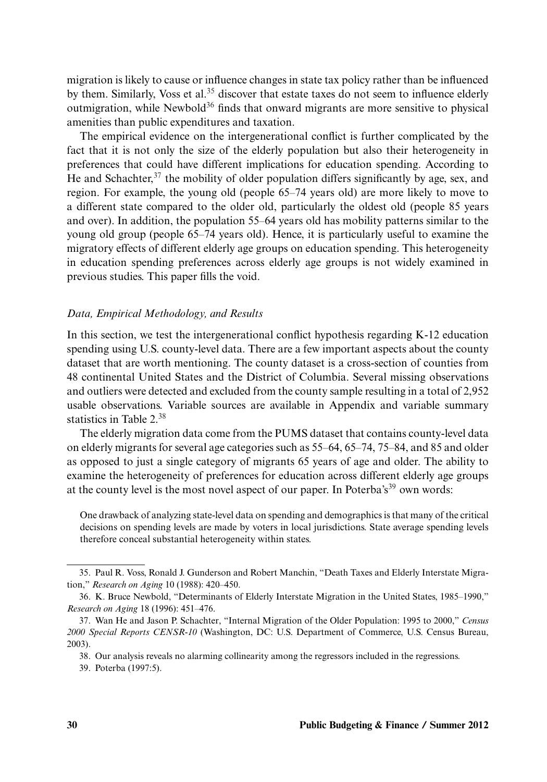migration is likely to cause or influence changes in state tax policy rather than be influenced by them. Similarly, Voss et al.<sup>35</sup> discover that estate taxes do not seem to influence elderly outmigration, while Newbold<sup>36</sup> finds that onward migrants are more sensitive to physical amenities than public expenditures and taxation.

The empirical evidence on the intergenerational conflict is further complicated by the fact that it is not only the size of the elderly population but also their heterogeneity in preferences that could have different implications for education spending. According to He and Schachter,  $3^7$  the mobility of older population differs significantly by age, sex, and region. For example, the young old (people 65–74 years old) are more likely to move to a different state compared to the older old, particularly the oldest old (people 85 years and over). In addition, the population 55–64 years old has mobility patterns similar to the young old group (people 65–74 years old). Hence, it is particularly useful to examine the migratory effects of different elderly age groups on education spending. This heterogeneity in education spending preferences across elderly age groups is not widely examined in previous studies. This paper fills the void.

#### *Data, Empirical Methodology, and Results*

In this section, we test the intergenerational conflict hypothesis regarding K-12 education spending using U.S. county-level data. There are a few important aspects about the county dataset that are worth mentioning. The county dataset is a cross-section of counties from 48 continental United States and the District of Columbia. Several missing observations and outliers were detected and excluded from the county sample resulting in a total of 2,952 usable observations. Variable sources are available in Appendix and variable summary statistics in Table 2.38

The elderly migration data come from the PUMS dataset that contains county-level data on elderly migrants for several age categories such as 55–64, 65–74, 75–84, and 85 and older as opposed to just a single category of migrants 65 years of age and older. The ability to examine the heterogeneity of preferences for education across different elderly age groups at the county level is the most novel aspect of our paper. In Poterba's<sup>39</sup> own words:

One drawback of analyzing state-level data on spending and demographics is that many of the critical decisions on spending levels are made by voters in local jurisdictions. State average spending levels therefore conceal substantial heterogeneity within states.

<sup>35.</sup> Paul R. Voss, Ronald J. Gunderson and Robert Manchin, "Death Taxes and Elderly Interstate Migration," *Research on Aging* 10 (1988): 420–450.

<sup>36.</sup> K. Bruce Newbold, "Determinants of Elderly Interstate Migration in the United States, 1985–1990," *Research on Aging* 18 (1996): 451–476.

<sup>37.</sup> Wan He and Jason P. Schachter, "Internal Migration of the Older Population: 1995 to 2000," *Census 2000 Special Reports CENSR-10* (Washington, DC: U.S. Department of Commerce, U.S. Census Bureau, 2003).

<sup>38.</sup> Our analysis reveals no alarming collinearity among the regressors included in the regressions.

<sup>39.</sup> Poterba (1997:5).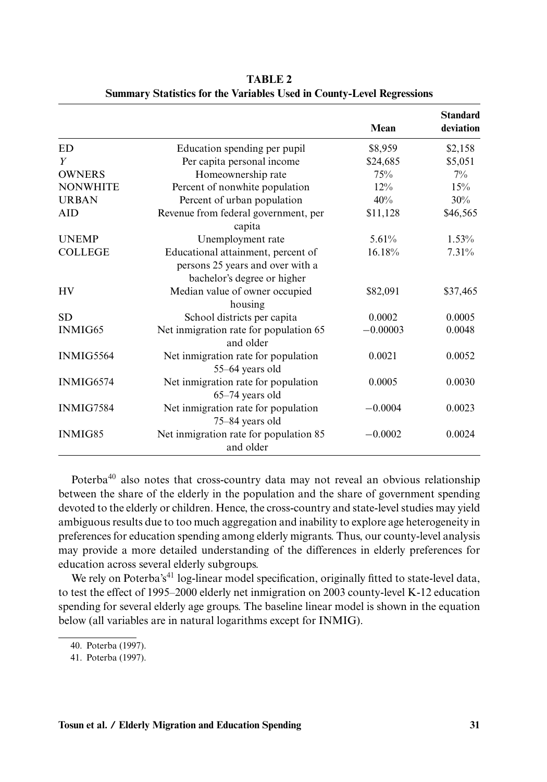|                  |                                                                                                       | Mean       | <b>Standard</b><br>deviation |
|------------------|-------------------------------------------------------------------------------------------------------|------------|------------------------------|
|                  |                                                                                                       |            |                              |
| <b>ED</b>        | Education spending per pupil                                                                          | \$8,959    | \$2,158                      |
| Y                | Per capita personal income                                                                            | \$24,685   | \$5,051                      |
| <b>OWNERS</b>    | Homeownership rate                                                                                    | 75%        | $7\%$                        |
| <b>NONWHITE</b>  | Percent of nonwhite population                                                                        | $12\%$     | 15%                          |
| <b>URBAN</b>     | Percent of urban population                                                                           | 40%        | 30%                          |
| <b>AID</b>       | Revenue from federal government, per<br>capita                                                        | \$11,128   | \$46,565                     |
| <b>UNEMP</b>     | Unemployment rate                                                                                     | $5.61\%$   | $1.53\%$                     |
| <b>COLLEGE</b>   | Educational attainment, percent of<br>persons 25 years and over with a<br>bachelor's degree or higher | 16.18%     | 7.31%                        |
| <b>HV</b>        | Median value of owner occupied<br>housing                                                             | \$82,091   | \$37,465                     |
| <b>SD</b>        | School districts per capita                                                                           | 0.0002     | 0.0005                       |
| <b>INMIG65</b>   | Net inmigration rate for population 65<br>and older                                                   | $-0.00003$ | 0.0048                       |
| INMIG5564        | Net inmigration rate for population<br>55-64 years old                                                | 0.0021     | 0.0052                       |
| INMIG6574        | Net inmigration rate for population<br>65-74 years old                                                | 0.0005     | 0.0030                       |
| <b>INMIG7584</b> | Net inmigration rate for population<br>75-84 years old                                                | $-0.0004$  | 0.0023                       |
| <b>INMIG85</b>   | Net inmigration rate for population 85<br>and older                                                   | $-0.0002$  | 0.0024                       |

**TABLE 2 Summary Statistics for the Variables Used in County-Level Regressions**

Poterba<sup>40</sup> also notes that cross-country data may not reveal an obvious relationship between the share of the elderly in the population and the share of government spending devoted to the elderly or children. Hence, the cross-country and state-level studies may yield ambiguous results due to too much aggregation and inability to explore age heterogeneity in preferences for education spending among elderly migrants. Thus, our county-level analysis may provide a more detailed understanding of the differences in elderly preferences for education across several elderly subgroups.

We rely on Poterba's<sup>41</sup> log-linear model specification, originally fitted to state-level data, to test the effect of 1995–2000 elderly net inmigration on 2003 county-level K-12 education spending for several elderly age groups. The baseline linear model is shown in the equation below (all variables are in natural logarithms except for INMIG).

<sup>40.</sup> Poterba (1997).

<sup>41.</sup> Poterba (1997).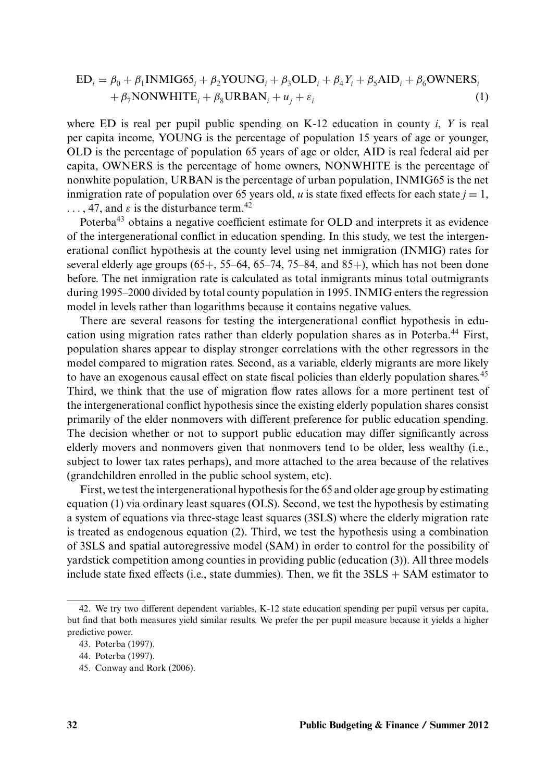$$
ED_i = \beta_0 + \beta_1 \text{INMIG65}_i + \beta_2 \text{YOUNG}_i + \beta_3 \text{OLD}_i + \beta_4 Y_i + \beta_5 \text{AID}_i + \beta_6 \text{OWNERS}_i + \beta_7 \text{NONWHITE}_i + \beta_8 \text{URBAN}_i + u_j + \varepsilon_i
$$
\n(1)

where ED is real per pupil public spending on K-12 education in county *i*, *Y* is real per capita income, YOUNG is the percentage of population 15 years of age or younger, OLD is the percentage of population 65 years of age or older, AID is real federal aid per capita, OWNERS is the percentage of home owners, NONWHITE is the percentage of nonwhite population, URBAN is the percentage of urban population, INMIG65 is the net inmigration rate of population over 65 years old, *u* is state fixed effects for each state  $j = 1$ ,  $\ldots$ , 47, and  $\varepsilon$  is the disturbance term.<sup>42</sup>

Poterba<sup>43</sup> obtains a negative coefficient estimate for OLD and interprets it as evidence of the intergenerational conflict in education spending. In this study, we test the intergenerational conflict hypothesis at the county level using net inmigration (INMIG) rates for several elderly age groups  $(65+, 55-64, 65-74, 75-84,$  and  $85+)$ , which has not been done before. The net inmigration rate is calculated as total inmigrants minus total outmigrants during 1995–2000 divided by total county population in 1995. INMIG enters the regression model in levels rather than logarithms because it contains negative values.

There are several reasons for testing the intergenerational conflict hypothesis in education using migration rates rather than elderly population shares as in Poterba.<sup>44</sup> First, population shares appear to display stronger correlations with the other regressors in the model compared to migration rates. Second, as a variable, elderly migrants are more likely to have an exogenous causal effect on state fiscal policies than elderly population shares.<sup>45</sup> Third, we think that the use of migration flow rates allows for a more pertinent test of the intergenerational conflict hypothesis since the existing elderly population shares consist primarily of the elder nonmovers with different preference for public education spending. The decision whether or not to support public education may differ significantly across elderly movers and nonmovers given that nonmovers tend to be older, less wealthy (i.e., subject to lower tax rates perhaps), and more attached to the area because of the relatives (grandchildren enrolled in the public school system, etc).

First, we test the intergenerational hypothesis for the 65 and older age group by estimating equation (1) via ordinary least squares (OLS). Second, we test the hypothesis by estimating a system of equations via three-stage least squares (3SLS) where the elderly migration rate is treated as endogenous equation (2). Third, we test the hypothesis using a combination of 3SLS and spatial autoregressive model (SAM) in order to control for the possibility of yardstick competition among counties in providing public (education (3)). All three models include state fixed effects (i.e., state dummies). Then, we fit the  $3SLS + SAM$  estimator to

<sup>42.</sup> We try two different dependent variables, K-12 state education spending per pupil versus per capita, but find that both measures yield similar results. We prefer the per pupil measure because it yields a higher predictive power.

<sup>43.</sup> Poterba (1997).

<sup>44.</sup> Poterba (1997).

<sup>45.</sup> Conway and Rork (2006).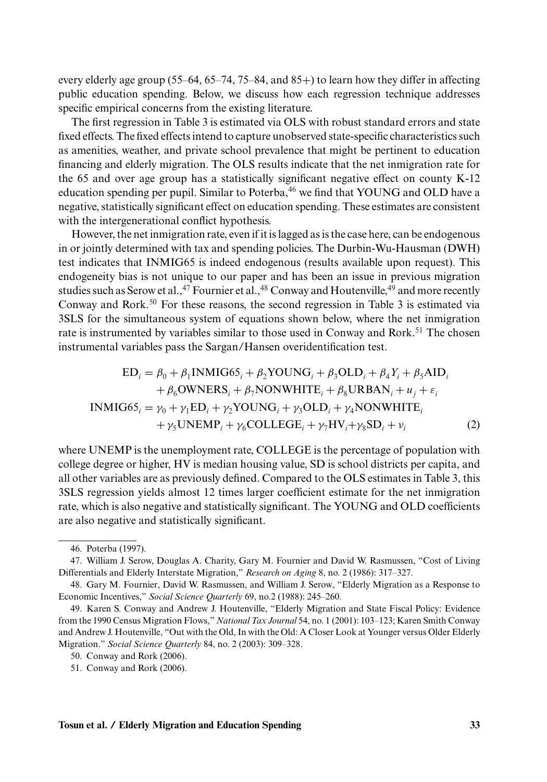every elderly age group  $(55-64, 65-74, 75-84,$  and  $85+)$  to learn how they differ in affecting public education spending. Below, we discuss how each regression technique addresses specific empirical concerns from the existing literature.

The first regression in Table 3 is estimated via OLS with robust standard errors and state fixed effects. The fixed effects intend to capture unobserved state-specific characteristics such as amenities, weather, and private school prevalence that might be pertinent to education financing and elderly migration. The OLS results indicate that the net inmigration rate for the 65 and over age group has a statistically significant negative effect on county K-12 education spending per pupil. Similar to Poterba,  $46$  we find that YOUNG and OLD have a negative, statistically significant effect on education spending. These estimates are consistent with the intergenerational conflict hypothesis.

However, the net inmigration rate, even if it is lagged as is the case here, can be endogenous in or jointly determined with tax and spending policies. The Durbin-Wu-Hausman (DWH) test indicates that INMIG65 is indeed endogenous (results available upon request). This endogeneity bias is not unique to our paper and has been an issue in previous migration studies such as Serow et al., <sup>47</sup> Fournier et al., <sup>48</sup> Conway and Houtenville, <sup>49</sup> and more recently Conway and Rork.<sup>50</sup> For these reasons, the second regression in Table 3 is estimated via 3SLS for the simultaneous system of equations shown below, where the net inmigration rate is instrumented by variables similar to those used in Conway and Rork.<sup>51</sup> The chosen instrumental variables pass the Sargan/Hansen overidentification test.

$$
ED_{i} = \beta_{0} + \beta_{1} \text{INMIG65}_{i} + \beta_{2} \text{YOUNG}_{i} + \beta_{3} \text{OLD}_{i} + \beta_{4} Y_{i} + \beta_{5} \text{AID}_{i} + \beta_{6} \text{OWNERS}_{i} + \beta_{7} \text{NONWHITE}_{i} + \beta_{8} \text{URBAN}_{i} + u_{j} + \varepsilon_{i} \n\text{INMIG65}_{i} = \gamma_{0} + \gamma_{1} \text{ED}_{i} + \gamma_{2} \text{YOUNG}_{i} + \gamma_{3} \text{OLD}_{i} + \gamma_{4} \text{NONWHITE}_{i} + \gamma_{5} \text{UNEMP}_{i} + \gamma_{6} \text{COLLEGE}_{i} + \gamma_{7} \text{HV}_{i} + \gamma_{8} \text{SD}_{i} + v_{i}
$$
(2)

where UNEMP is the unemployment rate, COLLEGE is the percentage of population with college degree or higher, HV is median housing value, SD is school districts per capita, and all other variables are as previously defined. Compared to the OLS estimates in Table 3, this 3SLS regression yields almost 12 times larger coefficient estimate for the net inmigration rate, which is also negative and statistically significant. The YOUNG and OLD coefficients are also negative and statistically significant.

<sup>46.</sup> Poterba (1997).

<sup>47.</sup> William J. Serow, Douglas A. Charity, Gary M. Fournier and David W. Rasmussen, "Cost of Living Differentials and Elderly Interstate Migration," *Research on Aging* 8, no. 2 (1986): 317–327.

<sup>48.</sup> Gary M. Fournier, David W. Rasmussen, and William J. Serow, "Elderly Migration as a Response to Economic Incentives," *Social Science Quarterly* 69, no.2 (1988): 245–260.

<sup>49.</sup> Karen S. Conway and Andrew J. Houtenville, "Elderly Migration and State Fiscal Policy: Evidence from the 1990 Census Migration Flows," *National Tax Journal* 54, no. 1 (2001): 103–123; Karen Smith Conway and Andrew J. Houtenville, "Out with the Old, In with the Old: A Closer Look at Younger versus Older Elderly Migration." *Social Science Quarterly* 84, no. 2 (2003): 309–328.

<sup>50.</sup> Conway and Rork (2006).

<sup>51.</sup> Conway and Rork (2006).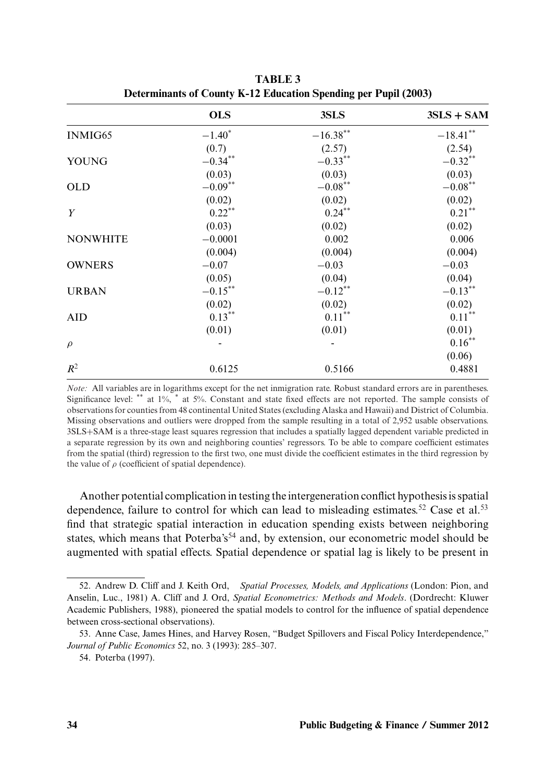|                 | <b>OLS</b> | 3SLS               | $3SLS + SAM$ |
|-----------------|------------|--------------------|--------------|
| INMIG65         | $-1.40*$   | $-16.38***$        | $-18.41***$  |
|                 | (0.7)      | (2.57)             | (2.54)       |
| <b>YOUNG</b>    | $-0.34***$ | $-0.33***$         | $-0.32***$   |
|                 | (0.03)     | (0.03)             | (0.03)       |
| <b>OLD</b>      | $-0.09***$ | $-0.08^{\ast\ast}$ | $-0.08***$   |
|                 | (0.02)     | (0.02)             | (0.02)       |
| Y               | $0.22***$  | $0.24***$          | $0.21***$    |
|                 | (0.03)     | (0.02)             | (0.02)       |
| <b>NONWHITE</b> | $-0.0001$  | 0.002              | 0.006        |
|                 | (0.004)    | (0.004)            | (0.004)      |
| <b>OWNERS</b>   | $-0.07$    | $-0.03$            | $-0.03$      |
|                 | (0.05)     | (0.04)             | (0.04)       |
| <b>URBAN</b>    | $-0.15***$ | $-0.12***$         | $-0.13***$   |
|                 | (0.02)     | (0.02)             | (0.02)       |
| <b>AID</b>      | $0.13***$  | $0.11***$          | $0.11***$    |
|                 | (0.01)     | (0.01)             | (0.01)       |
| $\rho$          |            |                    | $0.16***$    |
|                 |            |                    | (0.06)       |
| $R^2$           | 0.6125     | 0.5166             | 0.4881       |

**TABLE 3 Determinants of County K-12 Education Spending per Pupil (2003)**

*Note:* All variables are in logarithms except for the net inmigration rate. Robust standard errors are in parentheses. Significance level: \*\* at 1%, \* at 5%. Constant and state fixed effects are not reported. The sample consists of observations for counties from 48 continental United States (excluding Alaska and Hawaii) and District of Columbia. Missing observations and outliers were dropped from the sample resulting in a total of 2,952 usable observations. 3SLS+SAM is a three-stage least squares regression that includes a spatially lagged dependent variable predicted in a separate regression by its own and neighboring counties' regressors. To be able to compare coefficient estimates from the spatial (third) regression to the first two, one must divide the coefficient estimates in the third regression by the value of  $\rho$  (coefficient of spatial dependence).

Another potential complication in testing the intergeneration conflict hypothesis is spatial dependence, failure to control for which can lead to misleading estimates.<sup>52</sup> Case et al.<sup>53</sup> find that strategic spatial interaction in education spending exists between neighboring states, which means that Poterba's<sup>54</sup> and, by extension, our econometric model should be augmented with spatial effects. Spatial dependence or spatial lag is likely to be present in

<sup>52.</sup> Andrew D. Cliff and J. Keith Ord, *Spatial Processes, Models, and Applications* (London: Pion, and Anselin, Luc., 1981) A. Cliff and J. Ord, *Spatial Econometrics: Methods and Models*. (Dordrecht: Kluwer Academic Publishers, 1988), pioneered the spatial models to control for the influence of spatial dependence between cross-sectional observations).

<sup>53.</sup> Anne Case, James Hines, and Harvey Rosen, "Budget Spillovers and Fiscal Policy Interdependence," *Journal of Public Economics* 52, no. 3 (1993): 285–307.

<sup>54.</sup> Poterba (1997).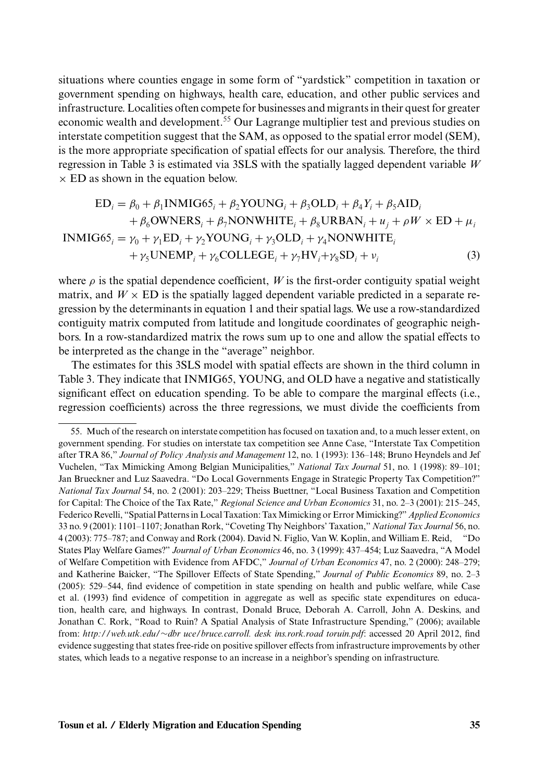situations where counties engage in some form of "yardstick" competition in taxation or government spending on highways, health care, education, and other public services and infrastructure. Localities often compete for businesses and migrants in their quest for greater economic wealth and development.<sup>55</sup> Our Lagrange multiplier test and previous studies on interstate competition suggest that the SAM, as opposed to the spatial error model (SEM), is the more appropriate specification of spatial effects for our analysis. Therefore, the third regression in Table 3 is estimated via 3SLS with the spatially lagged dependent variable *W*  $\times$  ED as shown in the equation below.

$$
ED_{i} = \beta_{0} + \beta_{1} \text{INMIG65}_{i} + \beta_{2} \text{YOUNG}_{i} + \beta_{3} \text{OLD}_{i} + \beta_{4} Y_{i} + \beta_{5} \text{AID}_{i}
$$
  
+  $\beta_{6} \text{OWNERS}_{i} + \beta_{7} \text{NONWHITE}_{i} + \beta_{8} \text{URBAN}_{i} + u_{j} + \rho W \times \text{ED} + \mu_{i}$   
INMIG65<sub>i</sub> =  $\gamma_{0} + \gamma_{1} \text{ED}_{i} + \gamma_{2} \text{YOUNG}_{i} + \gamma_{3} \text{OLD}_{i} + \gamma_{4} \text{NONWHITE}_{i}$   
+  $\gamma_{5} \text{UNEMP}_{i} + \gamma_{6} \text{COLLEGE}_{i} + \gamma_{7} \text{HV}_{i} + \gamma_{8} \text{SD}_{i} + v_{i}$  (3)

where  $\rho$  is the spatial dependence coefficient, *W* is the first-order contiguity spatial weight matrix, and  $W \times ED$  is the spatially lagged dependent variable predicted in a separate regression by the determinants in equation 1 and their spatial lags. We use a row-standardized contiguity matrix computed from latitude and longitude coordinates of geographic neighbors. In a row-standardized matrix the rows sum up to one and allow the spatial effects to be interpreted as the change in the "average" neighbor.

The estimates for this 3SLS model with spatial effects are shown in the third column in Table 3. They indicate that INMIG65, YOUNG, and OLD have a negative and statistically significant effect on education spending. To be able to compare the marginal effects (i.e., regression coefficients) across the three regressions, we must divide the coefficients from

<sup>55.</sup> Much of the research on interstate competition has focused on taxation and, to a much lesser extent, on government spending. For studies on interstate tax competition see Anne Case, "Interstate Tax Competition after TRA 86," *Journal of Policy Analysis and Management* 12, no. 1 (1993): 136–148; Bruno Heyndels and Jef Vuchelen, "Tax Mimicking Among Belgian Municipalities," *National Tax Journal* 51, no. 1 (1998): 89–101; Jan Brueckner and Luz Saavedra. "Do Local Governments Engage in Strategic Property Tax Competition?" *National Tax Journal* 54, no. 2 (2001): 203–229; Theiss Buettner, "Local Business Taxation and Competition for Capital: The Choice of the Tax Rate," *Regional Science and Urban Economics* 31, no. 2–3 (2001): 215–245, Federico Revelli, "Spatial Patterns in Local Taxation: TaxMimicking or ErrorMimicking?" *Applied Economics* 33 no. 9 (2001): 1101–1107; Jonathan Rork, "Coveting Thy Neighbors' Taxation," *National Tax Journal* 56, no. 4 (2003): 775–787; and Conway and Rork (2004). David N. Figlio, Van W. Koplin, and William E. Reid, "Do States Play Welfare Games?" *Journal of Urban Economics* 46, no. 3 (1999): 437–454; Luz Saavedra, "A Model of Welfare Competition with Evidence from AFDC," *Journal of Urban Economics* 47, no. 2 (2000): 248–279; and Katherine Baicker, "The Spillover Effects of State Spending," *Journal of Public Economics* 89, no. 2–3 (2005): 529–544, find evidence of competition in state spending on health and public welfare, while Case et al. (1993) find evidence of competition in aggregate as well as specific state expenditures on education, health care, and highways. In contrast, Donald Bruce, Deborah A. Carroll, John A. Deskins, and Jonathan C. Rork, "Road to Ruin? A Spatial Analysis of State Infrastructure Spending," (2006); available from: *http://web.utk.edu/*∼*dbr uce/bruce.carroll. desk ins.rork.road toruin.pdf*: accessed 20 April 2012, find evidence suggesting that states free-ride on positive spillover effects from infrastructure improvements by other states, which leads to a negative response to an increase in a neighbor's spending on infrastructure.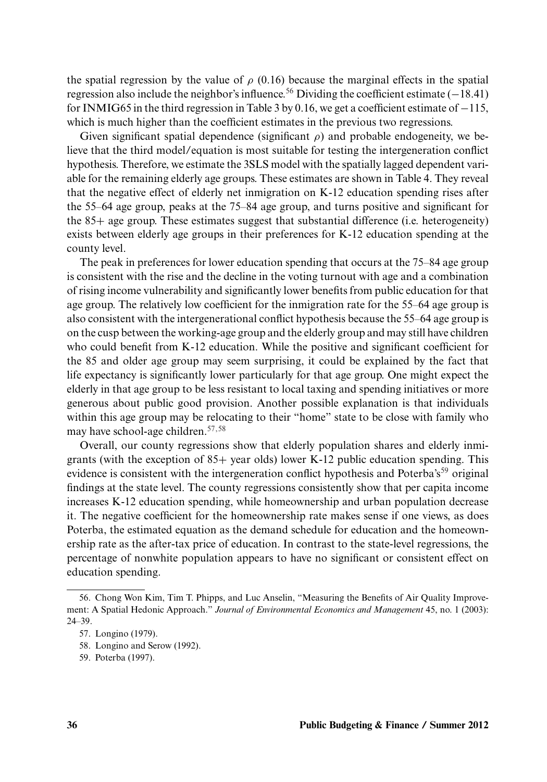the spatial regression by the value of  $\rho$  (0.16) because the marginal effects in the spatial regression also include the neighbor's influence.<sup>56</sup> Dividing the coefficient estimate (−18.41) for INMIG65 in the third regression in Table 3 by 0.16, we get a coefficient estimate of −115, which is much higher than the coefficient estimates in the previous two regressions.

Given significant spatial dependence (significant  $\rho$ ) and probable endogeneity, we believe that the third model/equation is most suitable for testing the intergeneration conflict hypothesis. Therefore, we estimate the 3SLS model with the spatially lagged dependent variable for the remaining elderly age groups. These estimates are shown in Table 4. They reveal that the negative effect of elderly net inmigration on K-12 education spending rises after the 55–64 age group, peaks at the 75–84 age group, and turns positive and significant for the 85+ age group. These estimates suggest that substantial difference (i.e. heterogeneity) exists between elderly age groups in their preferences for K-12 education spending at the county level.

The peak in preferences for lower education spending that occurs at the 75–84 age group is consistent with the rise and the decline in the voting turnout with age and a combination of rising income vulnerability and significantly lower benefits from public education for that age group. The relatively low coefficient for the inmigration rate for the 55–64 age group is also consistent with the intergenerational conflict hypothesis because the 55–64 age group is on the cusp between the working-age group and the elderly group and may still have children who could benefit from K-12 education. While the positive and significant coefficient for the 85 and older age group may seem surprising, it could be explained by the fact that life expectancy is significantly lower particularly for that age group. One might expect the elderly in that age group to be less resistant to local taxing and spending initiatives or more generous about public good provision. Another possible explanation is that individuals within this age group may be relocating to their "home" state to be close with family who may have school-age children.57,58

Overall, our county regressions show that elderly population shares and elderly inmigrants (with the exception of 85+ year olds) lower K-12 public education spending. This evidence is consistent with the intergeneration conflict hypothesis and Poterba's<sup>59</sup> original findings at the state level. The county regressions consistently show that per capita income increases K-12 education spending, while homeownership and urban population decrease it. The negative coefficient for the homeownership rate makes sense if one views, as does Poterba, the estimated equation as the demand schedule for education and the homeownership rate as the after-tax price of education. In contrast to the state-level regressions, the percentage of nonwhite population appears to have no significant or consistent effect on education spending.

<sup>56.</sup> Chong Won Kim, Tim T. Phipps, and Luc Anselin, "Measuring the Benefits of Air Quality Improvement: A Spatial Hedonic Approach." *Journal of Environmental Economics and Management* 45, no. 1 (2003): 24–39.

<sup>57.</sup> Longino (1979).

<sup>58.</sup> Longino and Serow (1992).

<sup>59.</sup> Poterba (1997).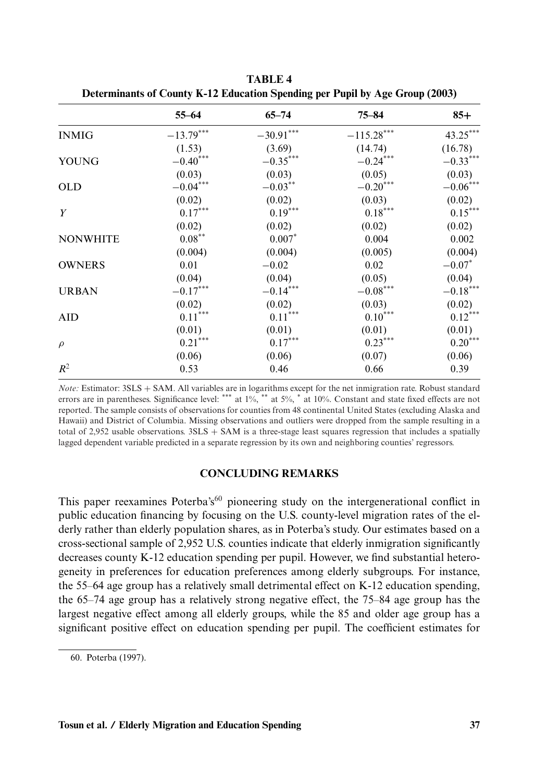|                 | $55 - 64$              | $65 - 74$             | $75 - 84$              | $85+$                  |
|-----------------|------------------------|-----------------------|------------------------|------------------------|
| <b>INMIG</b>    | $-13.79***$            | $-30.91***$           | $-115.28***$           | $43.25***$             |
|                 | (1.53)                 | (3.69)                | (14.74)                | (16.78)                |
| YOUNG           | $-0.40$ ***            | $-0.35***$            | $-0.24***$             | $-0.33***$             |
|                 | (0.03)                 | (0.03)                | (0.05)                 | (0.03)                 |
| <b>OLD</b>      | $-0.04^{***}\,$        | $-0.03***$            | $-0.20^{\ast\ast\ast}$ | $-0.06^{\ast\ast\ast}$ |
|                 | (0.02)                 | (0.02)                | (0.03)                 | (0.02)                 |
| Y               | $0.17^{\ast\ast\ast}$  | $0.19***$             | $0.18^{\ast\ast\ast}$  | $0.15***$              |
|                 | (0.02)                 | (0.02)                | (0.02)                 | (0.02)                 |
| <b>NONWHITE</b> | $0.08***$              | $0.007*$              | 0.004                  | 0.002                  |
|                 | (0.004)                | (0.004)               | (0.005)                | (0.004)                |
| <b>OWNERS</b>   | 0.01                   | $-0.02$               | 0.02                   | $-0.07*$               |
|                 | (0.04)                 | (0.04)                | (0.05)                 | (0.04)                 |
| <b>URBAN</b>    | $-0.17^{\ast\ast\ast}$ | $-0.14***$            | $-0.08^{\ast\ast\ast}$ | $-0.18^{\ast\ast\ast}$ |
|                 | (0.02)                 | (0.02)                | (0.03)                 | (0.02)                 |
| <b>AID</b>      | $0.11^{\ast\ast\ast}$  | $0.11^{\ast\ast\ast}$ | $0.10^{\ast\ast\ast}$  | $0.12***$              |
|                 | (0.01)                 | (0.01)                | (0.01)                 | (0.01)                 |
| $\rho$          | $0.21***$              | $0.17^{\ast\ast\ast}$ | $0.23***$              | $0.20***$              |
|                 | (0.06)                 | (0.06)                | (0.07)                 | (0.06)                 |
| $R^2$           | 0.53                   | 0.46                  | 0.66                   | 0.39                   |

**TABLE 4 Determinants of County K-12 Education Spending per Pupil by Age Group (2003)**

*Note:* Estimator: 3SLS + SAM. All variables are in logarithms except for the net inmigration rate. Robust standard errors are in parentheses. Significance level: \*\*\* at 1%, \*\* at 5%, \* at 10%. Constant and state fixed effects are not reported. The sample consists of observations for counties from 48 continental United States (excluding Alaska and Hawaii) and District of Columbia. Missing observations and outliers were dropped from the sample resulting in a total of 2,952 usable observations.  $3SLS + SAM$  is a three-stage least squares regression that includes a spatially lagged dependent variable predicted in a separate regression by its own and neighboring counties' regressors.

## **CONCLUDING REMARKS**

This paper reexamines Poterba's<sup>60</sup> pioneering study on the intergenerational conflict in public education financing by focusing on the U.S. county-level migration rates of the elderly rather than elderly population shares, as in Poterba's study. Our estimates based on a cross-sectional sample of 2,952 U.S. counties indicate that elderly inmigration significantly decreases county K-12 education spending per pupil. However, we find substantial heterogeneity in preferences for education preferences among elderly subgroups. For instance, the 55–64 age group has a relatively small detrimental effect on K-12 education spending, the 65–74 age group has a relatively strong negative effect, the 75–84 age group has the largest negative effect among all elderly groups, while the 85 and older age group has a significant positive effect on education spending per pupil. The coefficient estimates for

<sup>60.</sup> Poterba (1997).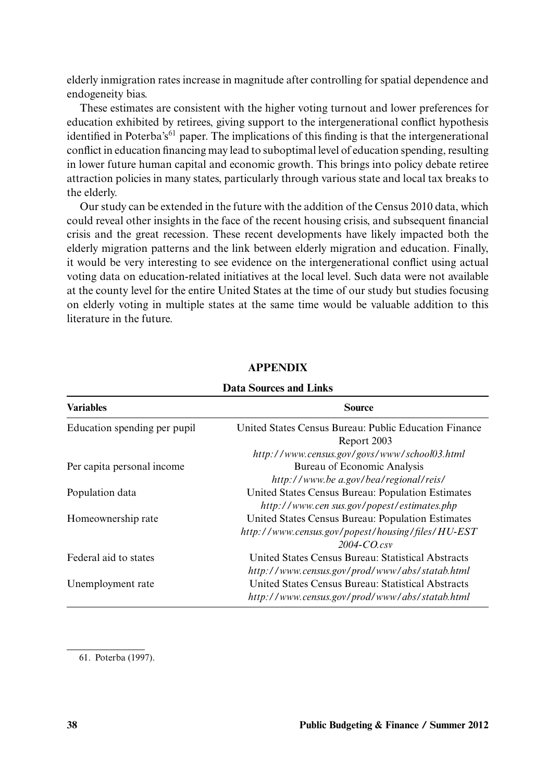elderly inmigration rates increase in magnitude after controlling for spatial dependence and endogeneity bias.

These estimates are consistent with the higher voting turnout and lower preferences for education exhibited by retirees, giving support to the intergenerational conflict hypothesis identified in Poterba's<sup>61</sup> paper. The implications of this finding is that the intergenerational conflict in education financing may lead to suboptimal level of education spending, resulting in lower future human capital and economic growth. This brings into policy debate retiree attraction policies in many states, particularly through various state and local tax breaks to the elderly.

Our study can be extended in the future with the addition of the Census 2010 data, which could reveal other insights in the face of the recent housing crisis, and subsequent financial crisis and the great recession. These recent developments have likely impacted both the elderly migration patterns and the link between elderly migration and education. Finally, it would be very interesting to see evidence on the intergenerational conflict using actual voting data on education-related initiatives at the local level. Such data were not available at the county level for the entire United States at the time of our study but studies focusing on elderly voting in multiple states at the same time would be valuable addition to this literature in the future.

| тлага глянско ани тлико      |                                                       |  |  |
|------------------------------|-------------------------------------------------------|--|--|
| <b>Variables</b>             | <b>Source</b>                                         |  |  |
| Education spending per pupil | United States Census Bureau: Public Education Finance |  |  |
|                              | Report 2003                                           |  |  |
|                              | http://www.census.gov/govs/www/school03.html          |  |  |
| Per capita personal income   | Bureau of Economic Analysis                           |  |  |
|                              | http://www.bea.gov/bea/regional/reis/                 |  |  |
| Population data              | United States Census Bureau: Population Estimates     |  |  |
|                              | http://www.cen sus.gov/popest/estimates.php           |  |  |
| Homeownership rate           | United States Census Bureau: Population Estimates     |  |  |
|                              | http://www.census.gov/popest/housing/files/HU-EST     |  |  |
|                              | $2004$ -CO csv                                        |  |  |
| Federal aid to states        | United States Census Bureau: Statistical Abstracts    |  |  |
|                              | http://www.census.gov/prod/www/abs/statab.html        |  |  |
| Unemployment rate            | United States Census Bureau: Statistical Abstracts    |  |  |
|                              | http://www.census.gov/prod/www/abs/statab.html        |  |  |
|                              |                                                       |  |  |

## **APPENDIX**

## **Data Sources and Links**

61. Poterba (1997).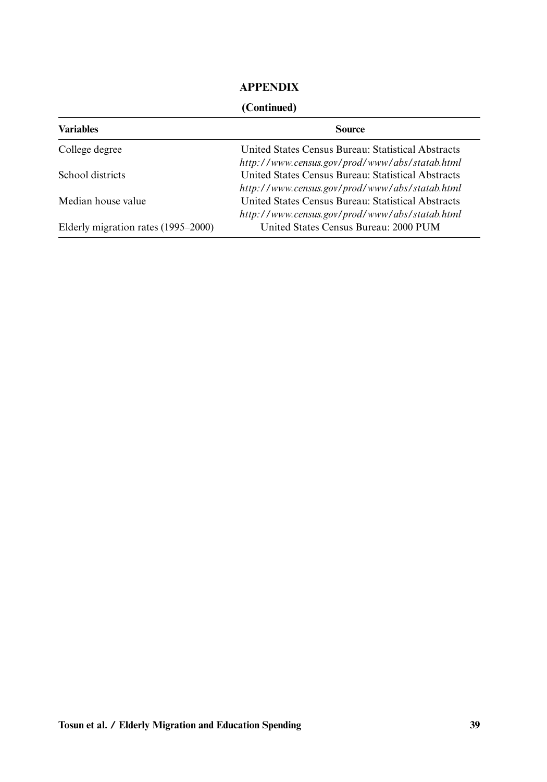# **APPENDIX**

## **(Continued)**

| <b>Variables</b>                    | <b>Source</b>                                      |
|-------------------------------------|----------------------------------------------------|
| College degree                      | United States Census Bureau: Statistical Abstracts |
|                                     | http://www.census.gov/prod/www/abs/statab.html     |
| School districts                    | United States Census Bureau: Statistical Abstracts |
|                                     | http://www.census.gov/prod/www/abs/statab.html     |
| Median house value                  | United States Census Bureau: Statistical Abstracts |
|                                     | http://www.census.gov/prod/www/abs/statab.html     |
| Elderly migration rates (1995–2000) | United States Census Bureau: 2000 PUM              |